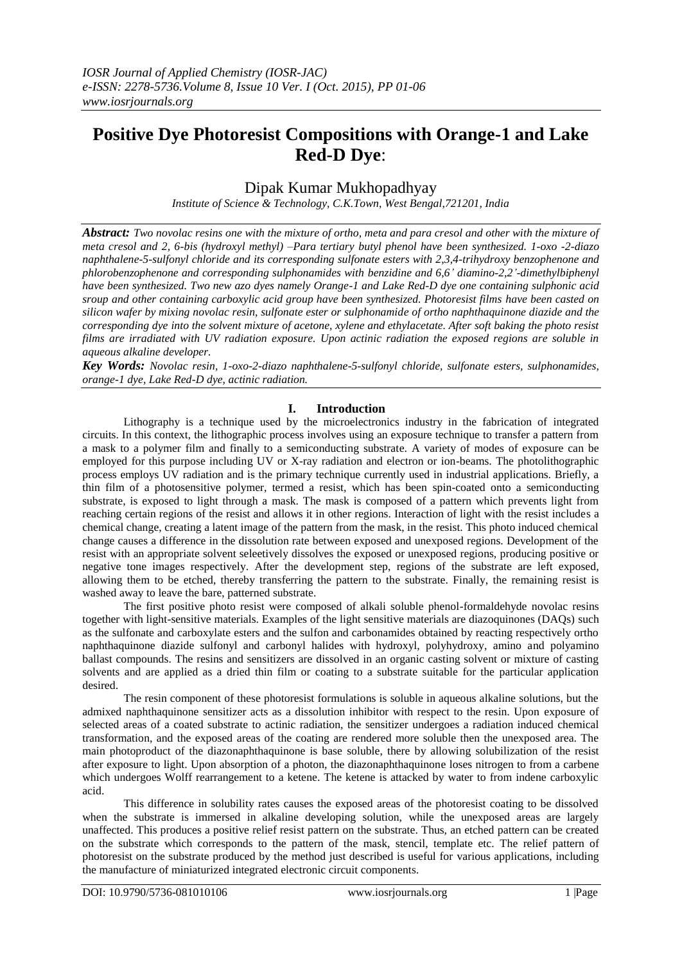# **Positive Dye Photoresist Compositions with Orange-1 and Lake Red-D Dye**:

## Dipak Kumar Mukhopadhyay

*Institute of Science & Technology, C.K.Town, West Bengal,721201, India*

*Abstract: Two novolac resins one with the mixture of ortho, meta and para cresol and other with the mixture of meta cresol and 2, 6-bis (hydroxyl methyl) –Para tertiary butyl phenol have been synthesized. 1-oxo -2-diazo naphthalene-5-sulfonyl chloride and its corresponding sulfonate esters with 2,3,4-trihydroxy benzophenone and phlorobenzophenone and corresponding sulphonamides with benzidine and 6,6' diamino-2,2'-dimethylbiphenyl have been synthesized. Two new azo dyes namely Orange-1 and Lake Red-D dye one containing sulphonic acid sroup and other containing carboxylic acid group have been synthesized. Photoresist films have been casted on silicon wafer by mixing novolac resin, sulfonate ester or sulphonamide of ortho naphthaquinone diazide and the corresponding dye into the solvent mixture of acetone, xylene and ethylacetate. After soft baking the photo resist films are irradiated with UV radiation exposure. Upon actinic radiation the exposed regions are soluble in aqueous alkaline developer.* 

*Key Words: Novolac resin, 1-oxo-2-diazo naphthalene-5-sulfonyl chloride, sulfonate esters, sulphonamides, orange-1 dye, Lake Red-D dye, actinic radiation.*

## **I. Introduction**

Lithography is a technique used by the microelectronics industry in the fabrication of integrated circuits. In this context, the lithographic process involves using an exposure technique to transfer a pattern from a mask to a polymer film and finally to a semiconducting substrate. A variety of modes of exposure can be employed for this purpose including UV or X-ray radiation and electron or ion-beams. The photolithographic process employs UV radiation and is the primary technique currently used in industrial applications. Briefly, a thin film of a photosensitive polymer, termed a resist, which has been spin-coated onto a semiconducting substrate, is exposed to light through a mask. The mask is composed of a pattern which prevents light from reaching certain regions of the resist and allows it in other regions. Interaction of light with the resist includes a chemical change, creating a latent image of the pattern from the mask, in the resist. This photo induced chemical change causes a difference in the dissolution rate between exposed and unexposed regions. Development of the resist with an appropriate solvent seleetively dissolves the exposed or unexposed regions, producing positive or negative tone images respectively. After the development step, regions of the substrate are left exposed, allowing them to be etched, thereby transferring the pattern to the substrate. Finally, the remaining resist is washed away to leave the bare, patterned substrate.

The first positive photo resist were composed of alkali soluble phenol-formaldehyde novolac resins together with light-sensitive materials. Examples of the light sensitive materials are diazoquinones (DAQs) such as the sulfonate and carboxylate esters and the sulfon and carbonamides obtained by reacting respectively ortho naphthaquinone diazide sulfonyl and carbonyl halides with hydroxyl, polyhydroxy, amino and polyamino ballast compounds. The resins and sensitizers are dissolved in an organic casting solvent or mixture of casting solvents and are applied as a dried thin film or coating to a substrate suitable for the particular application desired.

The resin component of these photoresist formulations is soluble in aqueous alkaline solutions, but the admixed naphthaquinone sensitizer acts as a dissolution inhibitor with respect to the resin. Upon exposure of selected areas of a coated substrate to actinic radiation, the sensitizer undergoes a radiation induced chemical transformation, and the exposed areas of the coating are rendered more soluble then the unexposed area. The main photoproduct of the diazonaphthaquinone is base soluble, there by allowing solubilization of the resist after exposure to light. Upon absorption of a photon, the diazonaphthaquinone loses nitrogen to from a carbene which undergoes Wolff rearrangement to a ketene. The ketene is attacked by water to from indene carboxylic acid.

This difference in solubility rates causes the exposed areas of the photoresist coating to be dissolved when the substrate is immersed in alkaline developing solution, while the unexposed areas are largely unaffected. This produces a positive relief resist pattern on the substrate. Thus, an etched pattern can be created on the substrate which corresponds to the pattern of the mask, stencil, template etc. The relief pattern of photoresist on the substrate produced by the method just described is useful for various applications, including the manufacture of miniaturized integrated electronic circuit components.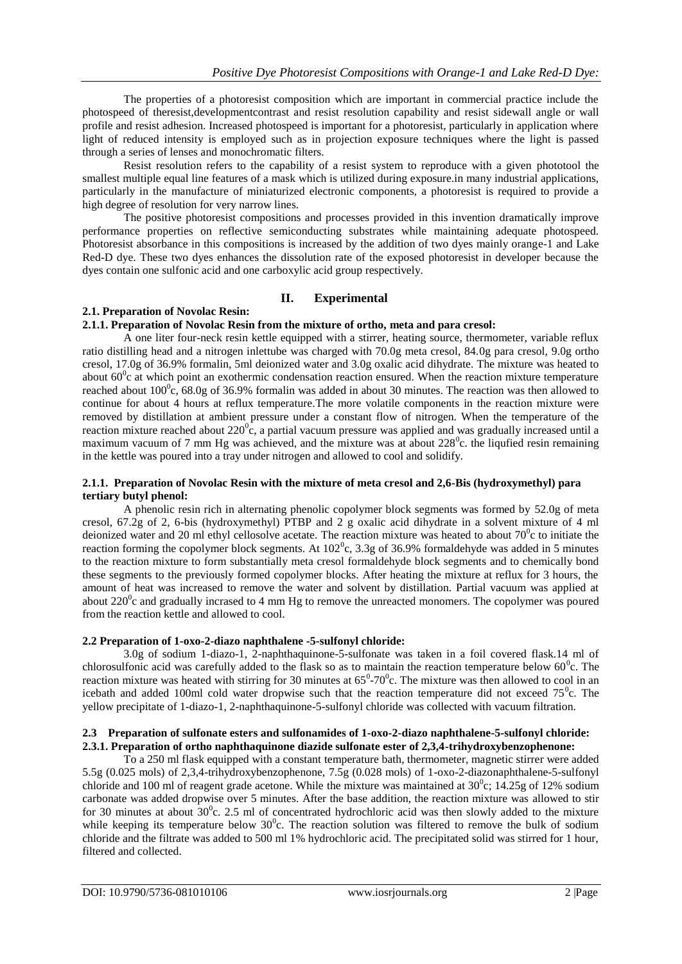The properties of a photoresist composition which are important in commercial practice include the photospeed of theresist,developmentcontrast and resist resolution capability and resist sidewall angle or wall profile and resist adhesion. Increased photospeed is important for a photoresist, particularly in application where light of reduced intensity is employed such as in projection exposure techniques where the light is passed through a series of lenses and monochromatic filters.

Resist resolution refers to the capability of a resist system to reproduce with a given phototool the smallest multiple equal line features of a mask which is utilized during exposure.in many industrial applications, particularly in the manufacture of miniaturized electronic components, a photoresist is required to provide a high degree of resolution for very narrow lines.

The positive photoresist compositions and processes provided in this invention dramatically improve performance properties on reflective semiconducting substrates while maintaining adequate photospeed. Photoresist absorbance in this compositions is increased by the addition of two dyes mainly orange-1 and Lake Red-D dye. These two dyes enhances the dissolution rate of the exposed photoresist in developer because the dyes contain one sulfonic acid and one carboxylic acid group respectively.

## **II. Experimental**

## **2.1. Preparation of Novolac Resin:**

#### **2.1.1. Preparation of Novolac Resin from the mixture of ortho, meta and para cresol:**

A one liter four-neck resin kettle equipped with a stirrer, heating source, thermometer, variable reflux ratio distilling head and a nitrogen inlettube was charged with 70.0g meta cresol, 84.0g para cresol, 9.0g ortho cresol, 17.0g of 36.9% formalin, 5ml deionized water and 3.0g oxalic acid dihydrate. The mixture was heated to about  $60^{\circ}$ c at which point an exothermic condensation reaction ensured. When the reaction mixture temperature reached about  $100^{\circ}$ c, 68.0g of 36.9% formalin was added in about 30 minutes. The reaction was then allowed to continue for about 4 hours at reflux temperature.The more volatile components in the reaction mixture were removed by distillation at ambient pressure under a constant flow of nitrogen. When the temperature of the reaction mixture reached about  $220^{\circ}$ c, a partial vacuum pressure was applied and was gradually increased until a maximum vacuum of 7 mm Hg was achieved, and the mixture was at about  $228^\circ$ c. the liqufied resin remaining in the kettle was poured into a tray under nitrogen and allowed to cool and solidify.

#### **2.1.1. Preparation of Novolac Resin with the mixture of meta cresol and 2,6-Bis (hydroxymethyl) para tertiary butyl phenol:**

A phenolic resin rich in alternating phenolic copolymer block segments was formed by 52.0g of meta cresol, 67.2g of 2, 6-bis (hydroxymethyl) PTBP and 2 g oxalic acid dihydrate in a solvent mixture of 4 ml deionized water and 20 ml ethyl cellosolve acetate. The reaction mixture was heated to about  $70^{\circ}$ c to initiate the reaction forming the copolymer block segments. At  $102^\circ$ c, 3.3g of 36.9% formaldehyde was added in 5 minutes to the reaction mixture to form substantially meta cresol formaldehyde block segments and to chemically bond these segments to the previously formed copolymer blocks. After heating the mixture at reflux for 3 hours, the amount of heat was increased to remove the water and solvent by distillation. Partial vacuum was applied at about  $220^{\circ}$ c and gradually incrased to 4 mm Hg to remove the unreacted monomers. The copolymer was poured from the reaction kettle and allowed to cool.

#### **2.2 Preparation of 1-oxo-2-diazo naphthalene -5-sulfonyl chloride:**

3.0g of sodium 1-diazo-1, 2-naphthaquinone-5-sulfonate was taken in a foil covered flask.14 ml of chlorosulfonic acid was carefully added to the flask so as to maintain the reaction temperature below  $60^{\circ}$ c. The reaction mixture was heated with stirring for 30 minutes at  $65^{\circ}$ -70 $^{\circ}$ c. The mixture was then allowed to cool in an icebath and added 100ml cold water dropwise such that the reaction temperature did not exceed  $75^{\circ}$ c. The yellow precipitate of 1-diazo-1, 2-naphthaquinone-5-sulfonyl chloride was collected with vacuum filtration.

#### **2.3 Preparation of sulfonate esters and sulfonamides of 1-oxo-2-diazo naphthalene-5-sulfonyl chloride: 2.3.1. Preparation of ortho naphthaquinone diazide sulfonate ester of 2,3,4-trihydroxybenzophenone:**

To a 250 ml flask equipped with a constant temperature bath, thermometer, magnetic stirrer were added 5.5g (0.025 mols) of 2,3,4-trihydroxybenzophenone, 7.5g (0.028 mols) of 1-oxo-2-diazonaphthalene-5-sulfonyl chloride and 100 ml of reagent grade acetone. While the mixture was maintained at  $30^{\circ}$ c; 14.25g of 12% sodium carbonate was added dropwise over 5 minutes. After the base addition, the reaction mixture was allowed to stir for 30 minutes at about  $30^{\circ}$ c. 2.5 ml of concentrated hydrochloric acid was then slowly added to the mixture while keeping its temperature below  $30^{\circ}$ c. The reaction solution was filtered to remove the bulk of sodium chloride and the filtrate was added to 500 ml 1% hydrochloric acid. The precipitated solid was stirred for 1 hour, filtered and collected.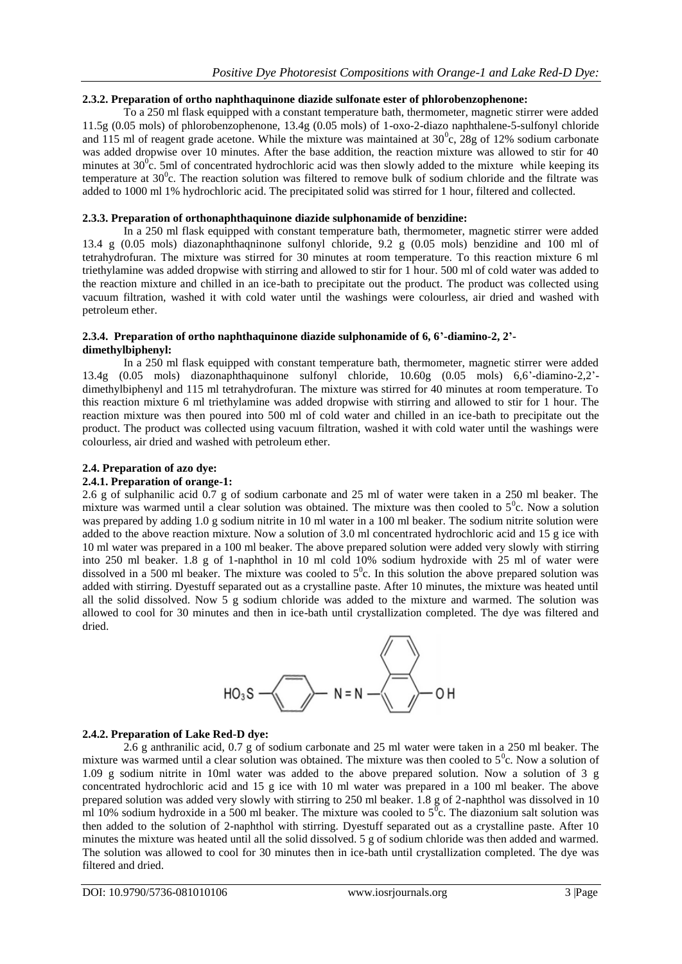#### **2.3.2. Preparation of ortho naphthaquinone diazide sulfonate ester of phlorobenzophenone:**

To a 250 ml flask equipped with a constant temperature bath, thermometer, magnetic stirrer were added 11.5g (0.05 mols) of phlorobenzophenone, 13.4g (0.05 mols) of 1-oxo-2-diazo naphthalene-5-sulfonyl chloride and 115 ml of reagent grade acetone. While the mixture was maintained at  $30^{\circ}$ c, 28g of 12% sodium carbonate was added dropwise over 10 minutes. After the base addition, the reaction mixture was allowed to stir for 40 minutes at  $30^{\circ}$ c. 5ml of concentrated hydrochloric acid was then slowly added to the mixture while keeping its temperature at  $30^{\circ}$ c. The reaction solution was filtered to remove bulk of sodium chloride and the filtrate was added to 1000 ml 1% hydrochloric acid. The precipitated solid was stirred for 1 hour, filtered and collected.

#### **2.3.3. Preparation of orthonaphthaquinone diazide sulphonamide of benzidine:**

In a 250 ml flask equipped with constant temperature bath, thermometer, magnetic stirrer were added 13.4 g (0.05 mols) diazonaphthaqninone sulfonyl chloride, 9.2 g (0.05 mols) benzidine and 100 ml of tetrahydrofuran. The mixture was stirred for 30 minutes at room temperature. To this reaction mixture 6 ml triethylamine was added dropwise with stirring and allowed to stir for 1 hour. 500 ml of cold water was added to the reaction mixture and chilled in an ice-bath to precipitate out the product. The product was collected using vacuum filtration, washed it with cold water until the washings were colourless, air dried and washed with petroleum ether.

#### **2.3.4. Preparation of ortho naphthaquinone diazide sulphonamide of 6, 6'-diamino-2, 2' dimethylbiphenyl:**

In a 250 ml flask equipped with constant temperature bath, thermometer, magnetic stirrer were added 13.4g (0.05 mols) diazonaphthaquinone sulfonyl chloride, 10.60g (0.05 mols) 6,6'-diamino-2,2' dimethylbiphenyl and 115 ml tetrahydrofuran. The mixture was stirred for 40 minutes at room temperature. To this reaction mixture 6 ml triethylamine was added dropwise with stirring and allowed to stir for 1 hour. The reaction mixture was then poured into 500 ml of cold water and chilled in an ice-bath to precipitate out the product. The product was collected using vacuum filtration, washed it with cold water until the washings were colourless, air dried and washed with petroleum ether.

#### **2.4. Preparation of azo dye:**

#### **2.4.1. Preparation of orange-1:**

2.6 g of sulphanilic acid 0.7 g of sodium carbonate and 25 ml of water were taken in a 250 ml beaker. The mixture was warmed until a clear solution was obtained. The mixture was then cooled to  $5^\circ$ c. Now a solution was prepared by adding 1.0 g sodium nitrite in 10 ml water in a 100 ml beaker. The sodium nitrite solution were added to the above reaction mixture. Now a solution of 3.0 ml concentrated hydrochloric acid and 15 g ice with 10 ml water was prepared in a 100 ml beaker. The above prepared solution were added very slowly with stirring into 250 ml beaker. 1.8 g of 1-naphthol in 10 ml cold 10% sodium hydroxide with 25 ml of water were dissolved in a 500 ml beaker. The mixture was cooled to  $5^\circ$ c. In this solution the above prepared solution was added with stirring. Dyestuff separated out as a crystalline paste. After 10 minutes, the mixture was heated until all the solid dissolved. Now 5 g sodium chloride was added to the mixture and warmed. The solution was allowed to cool for 30 minutes and then in ice-bath until crystallization completed. The dye was filtered and dried.



#### **2.4.2. Preparation of Lake Red-D dye:**

2.6 g anthranilic acid, 0.7 g of sodium carbonate and 25 ml water were taken in a 250 ml beaker. The mixture was warmed until a clear solution was obtained. The mixture was then cooled to  $5^\circ$ c. Now a solution of 1.09 g sodium nitrite in 10ml water was added to the above prepared solution. Now a solution of 3 g concentrated hydrochloric acid and 15 g ice with 10 ml water was prepared in a 100 ml beaker. The above prepared solution was added very slowly with stirring to 250 ml beaker. 1.8 g of 2-naphthol was dissolved in 10 ml 10% sodium hydroxide in a 500 ml beaker. The mixture was cooled to  $5^{\overline{0}}$ c. The diazonium salt solution was then added to the solution of 2-naphthol with stirring. Dyestuff separated out as a crystalline paste. After 10 minutes the mixture was heated until all the solid dissolved. 5 g of sodium chloride was then added and warmed. The solution was allowed to cool for 30 minutes then in ice-bath until crystallization completed. The dye was filtered and dried.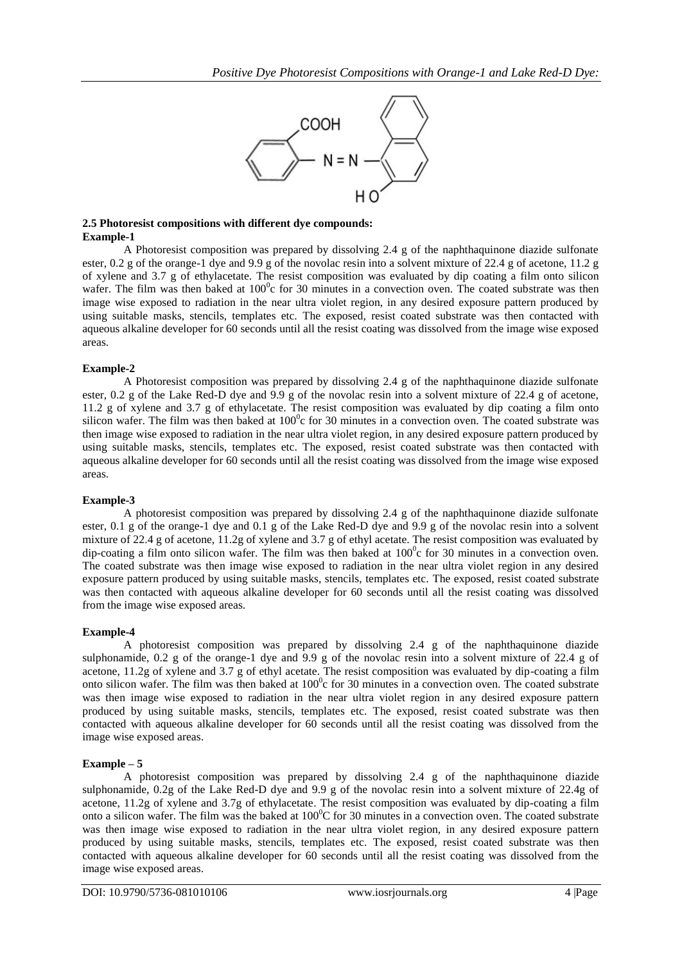

#### **2.5 Photoresist compositions with different dye compounds: Example-1**

A Photoresist composition was prepared by dissolving 2.4 g of the naphthaquinone diazide sulfonate ester, 0.2 g of the orange-1 dye and 9.9 g of the novolac resin into a solvent mixture of 22.4 g of acetone, 11.2 g of xylene and 3.7 g of ethylacetate. The resist composition was evaluated by dip coating a film onto silicon wafer. The film was then baked at  $100^{\circ}$ c for 30 minutes in a convection oven. The coated substrate was then image wise exposed to radiation in the near ultra violet region, in any desired exposure pattern produced by using suitable masks, stencils, templates etc. The exposed, resist coated substrate was then contacted with aqueous alkaline developer for 60 seconds until all the resist coating was dissolved from the image wise exposed areas.

## **Example-2**

A Photoresist composition was prepared by dissolving 2.4 g of the naphthaquinone diazide sulfonate ester, 0.2 g of the Lake Red-D dye and 9.9 g of the novolac resin into a solvent mixture of 22.4 g of acetone, 11.2 g of xylene and 3.7 g of ethylacetate. The resist composition was evaluated by dip coating a film onto silicon wafer. The film was then baked at  $100^{\circ}$ c for 30 minutes in a convection oven. The coated substrate was then image wise exposed to radiation in the near ultra violet region, in any desired exposure pattern produced by using suitable masks, stencils, templates etc. The exposed, resist coated substrate was then contacted with aqueous alkaline developer for 60 seconds until all the resist coating was dissolved from the image wise exposed areas.

#### **Example-3**

A photoresist composition was prepared by dissolving 2.4 g of the naphthaquinone diazide sulfonate ester, 0.1 g of the orange-1 dye and 0.1 g of the Lake Red-D dye and 9.9 g of the novolac resin into a solvent mixture of 22.4 g of acetone, 11.2g of xylene and 3.7 g of ethyl acetate. The resist composition was evaluated by dip-coating a film onto silicon wafer. The film was then baked at  $100^{\circ}$ c for 30 minutes in a convection oven. The coated substrate was then image wise exposed to radiation in the near ultra violet region in any desired exposure pattern produced by using suitable masks, stencils, templates etc. The exposed, resist coated substrate was then contacted with aqueous alkaline developer for 60 seconds until all the resist coating was dissolved from the image wise exposed areas.

#### **Example-4**

A photoresist composition was prepared by dissolving 2.4 g of the naphthaquinone diazide sulphonamide, 0.2 g of the orange-1 dye and 9.9 g of the novolac resin into a solvent mixture of 22.4 g of acetone, 11.2g of xylene and 3.7 g of ethyl acetate. The resist composition was evaluated by dip-coating a film onto silicon wafer. The film was then baked at 100<sup>°</sup>c for 30 minutes in a convection oven. The coated substrate was then image wise exposed to radiation in the near ultra violet region in any desired exposure pattern produced by using suitable masks, stencils, templates etc. The exposed, resist coated substrate was then contacted with aqueous alkaline developer for 60 seconds until all the resist coating was dissolved from the image wise exposed areas.

#### **Example – 5**

A photoresist composition was prepared by dissolving 2.4 g of the naphthaquinone diazide sulphonamide, 0.2g of the Lake Red-D dye and 9.9 g of the novolac resin into a solvent mixture of 22.4g of acetone, 11.2g of xylene and 3.7g of ethylacetate. The resist composition was evaluated by dip-coating a film onto a silicon wafer. The film was the baked at  $100^{\circ}$ C for 30 minutes in a convection oven. The coated substrate was then image wise exposed to radiation in the near ultra violet region, in any desired exposure pattern produced by using suitable masks, stencils, templates etc. The exposed, resist coated substrate was then contacted with aqueous alkaline developer for 60 seconds until all the resist coating was dissolved from the image wise exposed areas.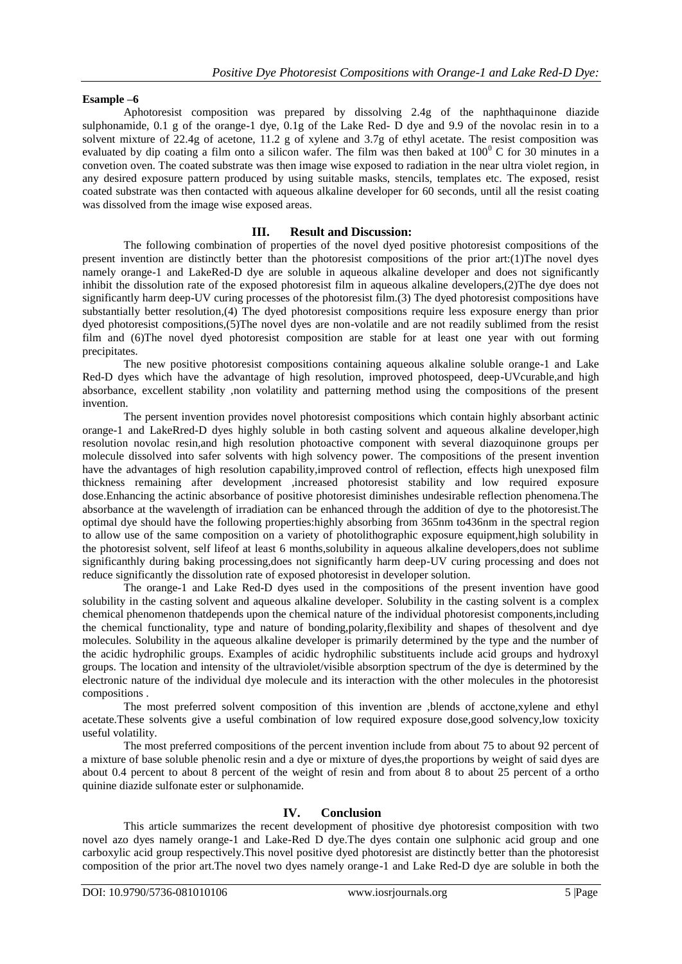#### **Esample –6**

Aphotoresist composition was prepared by dissolving 2.4g of the naphthaquinone diazide sulphonamide, 0.1 g of the orange-1 dye, 0.1g of the Lake Red- D dye and 9.9 of the novolac resin in to a solvent mixture of 22.4g of acetone, 11.2 g of xylene and 3.7g of ethyl acetate. The resist composition was evaluated by dip coating a film onto a silicon wafer. The film was then baked at  $100^{\circ}$  C for 30 minutes in a convetion oven. The coated substrate was then image wise exposed to radiation in the near ultra violet region, in any desired exposure pattern produced by using suitable masks, stencils, templates etc. The exposed, resist coated substrate was then contacted with aqueous alkaline developer for 60 seconds, until all the resist coating was dissolved from the image wise exposed areas.

#### **III. Result and Discussion:**

The following combination of properties of the novel dyed positive photoresist compositions of the present invention are distinctly better than the photoresist compositions of the prior art:(1)The novel dyes namely orange-1 and LakeRed-D dye are soluble in aqueous alkaline developer and does not significantly inhibit the dissolution rate of the exposed photoresist film in aqueous alkaline developers,(2)The dye does not significantly harm deep-UV curing processes of the photoresist film.(3) The dyed photoresist compositions have substantially better resolution,(4) The dyed photoresist compositions require less exposure energy than prior dyed photoresist compositions,(5)The novel dyes are non-volatile and are not readily sublimed from the resist film and (6)The novel dyed photoresist composition are stable for at least one year with out forming precipitates.

The new positive photoresist compositions containing aqueous alkaline soluble orange-1 and Lake Red-D dyes which have the advantage of high resolution, improved photospeed, deep-UVcurable,and high absorbance, excellent stability ,non volatility and patterning method using the compositions of the present invention.

The persent invention provides novel photoresist compositions which contain highly absorbant actinic orange-1 and LakeRred-D dyes highly soluble in both casting solvent and aqueous alkaline developer,high resolution novolac resin,and high resolution photoactive component with several diazoquinone groups per molecule dissolved into safer solvents with high solvency power. The compositions of the present invention have the advantages of high resolution capability,improved control of reflection, effects high unexposed film thickness remaining after development ,increased photoresist stability and low required exposure dose.Enhancing the actinic absorbance of positive photoresist diminishes undesirable reflection phenomena.The absorbance at the wavelength of irradiation can be enhanced through the addition of dye to the photoresist.The optimal dye should have the following properties:highly absorbing from 365nm to436nm in the spectral region to allow use of the same composition on a variety of photolithographic exposure equipment,high solubility in the photoresist solvent, self lifeof at least 6 months,solubility in aqueous alkaline developers,does not sublime significanthly during baking processing,does not significantly harm deep-UV curing processing and does not reduce significantly the dissolution rate of exposed photoresist in developer solution.

The orange-1 and Lake Red-D dyes used in the compositions of the present invention have good solubility in the casting solvent and aqueous alkaline developer. Solubility in the casting solvent is a complex chemical phenomenon thatdepends upon the chemical nature of the individual photoresist components,including the chemical functionality, type and nature of bonding,polarity,flexibility and shapes of thesolvent and dye molecules. Solubility in the aqueous alkaline developer is primarily determined by the type and the number of the acidic hydrophilic groups. Examples of acidic hydrophilic substituents include acid groups and hydroxyl groups. The location and intensity of the ultraviolet/visible absorption spectrum of the dye is determined by the electronic nature of the individual dye molecule and its interaction with the other molecules in the photoresist compositions .

The most preferred solvent composition of this invention are ,blends of acctone,xylene and ethyl acetate.These solvents give a useful combination of low required exposure dose,good solvency,low toxicity useful volatility.

The most preferred compositions of the percent invention include from about 75 to about 92 percent of a mixture of base soluble phenolic resin and a dye or mixture of dyes,the proportions by weight of said dyes are about 0.4 percent to about 8 percent of the weight of resin and from about 8 to about 25 percent of a ortho quinine diazide sulfonate ester or sulphonamide.

#### **IV. Conclusion**

This article summarizes the recent development of phositive dye photoresist composition with two novel azo dyes namely orange-1 and Lake-Red D dye.The dyes contain one sulphonic acid group and one carboxylic acid group respectively.This novel positive dyed photoresist are distinctly better than the photoresist composition of the prior art.The novel two dyes namely orange-1 and Lake Red-D dye are soluble in both the